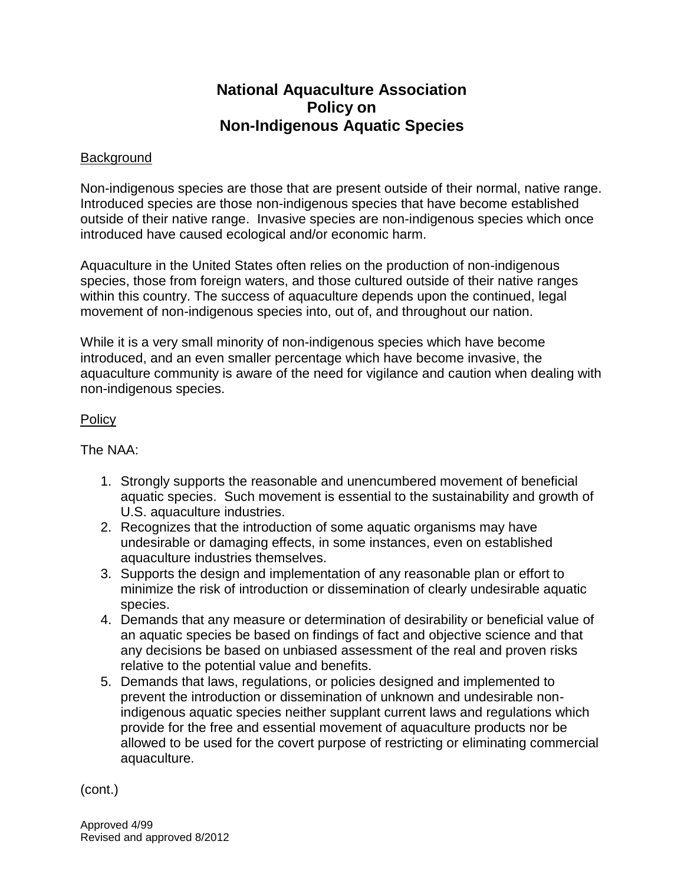## **National Aquaculture Association Policy on Non-Indigenous Aquatic Species**

## **Background**

Non-indigenous species are those that are present outside of their normal, native range. Introduced species are those non-indigenous species that have become established outside of their native range. Invasive species are non-indigenous species which once introduced have caused ecological and/or economic harm.

Aquaculture in the United States often relies on the production of non-indigenous species, those from foreign waters, and those cultured outside of their native ranges within this country. The success of aquaculture depends upon the continued, legal movement of non-indigenous species into, out of, and throughout our nation.

While it is a very small minority of non-indigenous species which have become introduced, and an even smaller percentage which have become invasive, the aquaculture community is aware of the need for vigilance and caution when dealing with non-indigenous species.

## **Policy**

The NAA:

- 1. Strongly supports the reasonable and unencumbered movement of beneficial aquatic species. Such movement is essential to the sustainability and growth of U.S. aquaculture industries.
- 2. Recognizes that the introduction of some aquatic organisms may have undesirable or damaging effects, in some instances, even on established aquaculture industries themselves.
- 3. Supports the design and implementation of any reasonable plan or effort to minimize the risk of introduction or dissemination of clearly undesirable aquatic species.
- 4. Demands that any measure or determination of desirability or beneficial value of an aquatic species be based on findings of fact and objective science and that any decisions be based on unbiased assessment of the real and proven risks relative to the potential value and benefits.
- 5. Demands that laws, regulations, or policies designed and implemented to prevent the introduction or dissemination of unknown and undesirable nonindigenous aquatic species neither supplant current laws and regulations which provide for the free and essential movement of aquaculture products nor be allowed to be used for the covert purpose of restricting or eliminating commercial aquaculture.

(cont.)